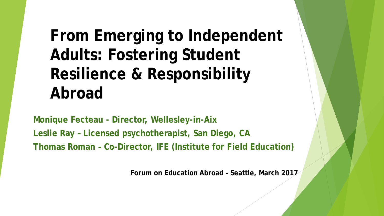## **From Emerging to Independent Adults: Fostering Student Resilience & Responsibility Abroad**

**Monique Fecteau - Director, Wellesley-in-Aix Leslie Ray – Licensed psychotherapist, San Diego, CA Thomas Roman – Co-Director, IFE (Institute for Field Education)**

**Forum on Education Abroad – Seattle, March 2017**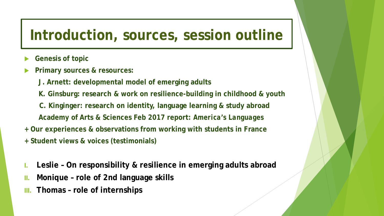#### **Introduction, sources, session outline**

- **Genesis of topic**
- **Primary sources & resources:** 
	- **J. Arnett: developmental model of emerging adults**
	- **K. Ginsburg: research & work on resilience-building in childhood & youth**
	- **C. Kinginger: research on identity, language learning & study abroad**
	- **Academy of Arts & Sciences Feb 2017 report:** *America's Languages*
- **+ Our experiences & observations from working with students in France**
- **+ Student views & voices (testimonials)**
- **I. Leslie – On responsibility & resilience in emerging adults abroad**
- **II. Monique – role of 2nd language skills**
- **III. Thomas – role of internships**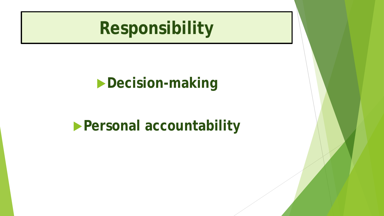## **Responsibility**

## **Decision-making**

## **Personal accountability**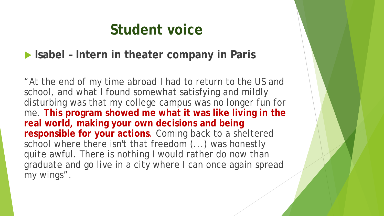#### **Student voice**

#### **Isabel – Intern in theater company in Paris**

"At the end of my time abroad I had to return to the US and school, and what I found somewhat satisfying and mildly disturbing was that my college campus was no longer fun for me. **This program showed me what it was like living in the real world, making your own decisions and being responsible for your actions**. Coming back to a sheltered school where there isn't that freedom (...) was honestly quite awful. There is nothing I would rather do now than graduate and go live in a city where I can once again spread my wings".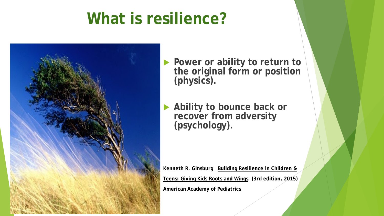## **What is resilience?**



 **Power or ability to return to the original form or position (physics).**

 **Ability to bounce back or recover from adversity (psychology).**

**Kenneth R. Ginsburg Building Resilience in Children & Teens: Giving Kids Roots and Wings. (3rd edition, 2015) American Academy of Pediatrics**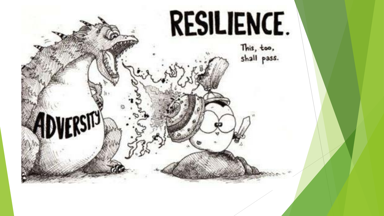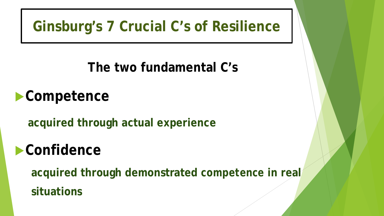#### **Ginsburg's 7 Crucial C's of Resilience**

**The two fundamental C's**

**Competence**

**acquired through actual experience**

## **Confidence**

**acquired through demonstrated** *competence* **in real situations**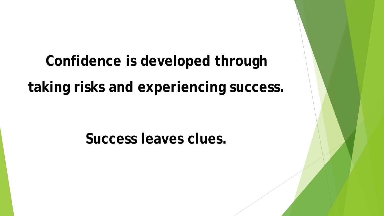# **Confidence is developed through taking risks and experiencing success.**

**Success leaves clues.**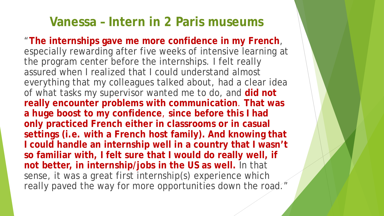#### **Vanessa – Intern in 2 Paris museums**

"**The internships gave me more confidence in my French**, especially rewarding after five weeks of intensive learning at the program center before the internships. I felt really assured when I realized that I could understand almost everything that my colleagues talked about, had a clear idea of what tasks my supervisor wanted me to do, and **did not really encounter problems with communication**. **That was a huge boost to my confidence**, **since before this I had only practiced French either in classrooms or in casual settings (i.e. with a French host family). And knowing that I could handle an internship well in a country that I wasn't so familiar with, I felt sure that I would do really well, if not better, in internship/jobs in the US as well.** In that sense, it was a great first internship(s) experience which really paved the way for more opportunities down the road."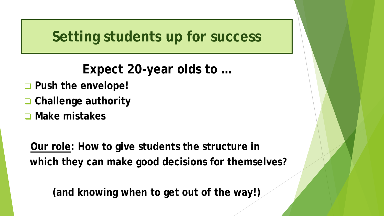**Setting students up for success**

**Expect 20-year olds to …**

- **Push the envelope!**
- **Challenge authority**
- **Make mistakes**

**Our role: How to give students the structure in which they can make good decisions for themselves?**

**(and knowing when to get out of the way!)**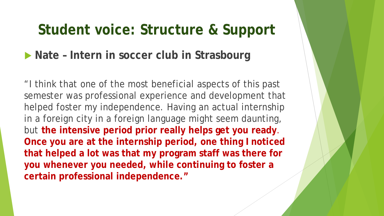#### **Student voice: Structure & Support**

#### ▶ Nate – Intern in soccer club in Strasbourg

"I think that one of the most beneficial aspects of this past semester was professional experience and development that helped foster my independence. Having an actual internship in a foreign city in a foreign language might seem daunting, but **the intensive period prior really helps get you ready**. **Once you are at the internship period, one thing I noticed that helped a lot was that my program staff was there for you whenever you needed, while continuing to foster a certain professional independence."**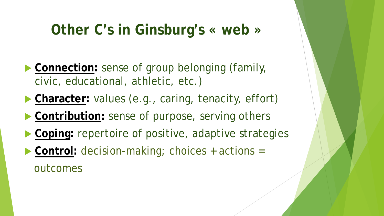## **Other C's in Ginsburg's « web »**

- **Connection:** sense of group belonging (family, civic, educational, athletic, etc.)
- **Character:** values (e.g., caring, tenacity, effort)
- **Contribution:** sense of purpose, serving others
- **Coping: repertoire of positive, adaptive strategies**
- ▶ Control: decision-making; choices + actions = outcomes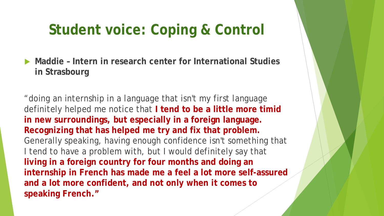## **Student voice: Coping & Control**

▶ Maddie - Intern in research center for International Studies **in Strasbourg**

"doing an internship in a language that isn't my first language definitely helped me notice that **I tend to be a little more timid in new surroundings, but especially in a foreign language. Recognizing that has helped me try and fix that problem.**  Generally speaking, having enough confidence isn't something that I tend to have a problem with, but I would definitely say that **living in a foreign country for four months and doing an internship in French has made me a feel a lot more self-assured and a lot more confident, and not only when it comes to speaking French."**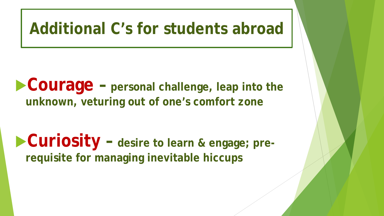## **Additional C's for students abroad**

**Courage – personal challenge, leap into the unknown, veturing out of one's comfort zone**

**Curiosity – desire to learn & engage; prerequisite for managing inevitable hiccups**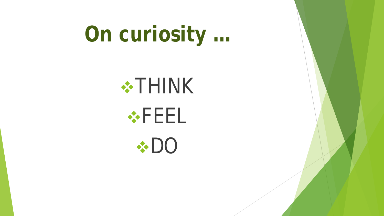# **On curiosity …**





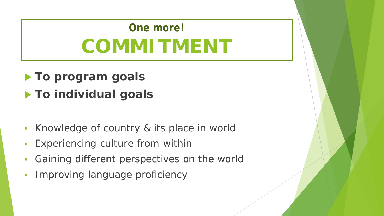## **One more! COMMITMENT**

#### **To program goals To individual goals**

- Knowledge of country & its place in world
- **Experiencing culture from within**
- **Gaining different perspectives on the world**
- **Improving language proficiency**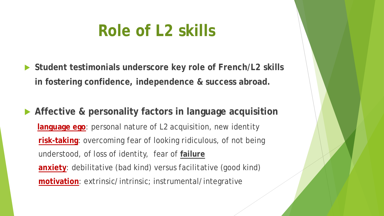## **Role of L2 skills**

- **Student testimonials underscore key role of French/L2 skills in fostering confidence, independence & success abroad.**
- **Affective & personality factors in language acquisition language ego**: personal nature of L2 acquisition, new identity **risk-taking**: overcoming fear of looking ridiculous, of not being understood, of loss of identity, fear of **failure anxiety**: debilitative (bad kind) versus facilitative (good kind) **motivation**: extrinsic/intrinsic; instrumental/integrative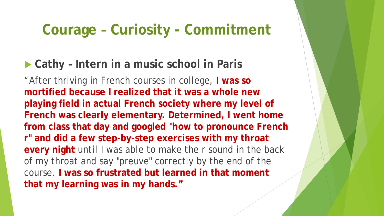#### **Courage – Curiosity - Commitment**

#### ▶ Cathy - Intern in a music school in Paris

"After thriving in French courses in college, **I was so mortified because I realized that it was a whole new playing field in actual French society where my level of French was clearly elementary. Determined, I went home from class that day and googled "how to pronounce French r" and did a few step-by-step exercises with my throat every night** until I was able to make the r sound in the back of my throat and say "preuve" correctly by the end of the course. **I was so frustrated but learned in that moment that my learning was in my hands."**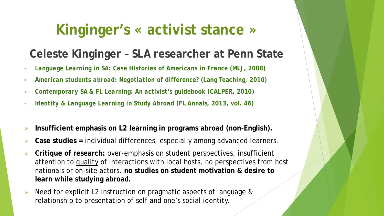## **Kinginger's « activist stance »**

#### **Celeste Kinginger – SLA researcher at Penn State**

- *Language Learning in SA: Case Histories of Americans in France* **(MLJ, 2008)**
- *American students abroad: Negotiation of difference?* **(Lang Teaching, 2010)**
- *Contemporary SA & FL Learning: An activist's guidebook* **(CALPER, 2010)**
- *Identity & Language Learning in Study Abroad* **(FL Annals, 2013, vol. 46)**
- **Insufficient emphasis on L2 learning in programs abroad (non-English).**
- **Case studies =** individual differences, especially among advanced learners.
- **Critique of research:** over-emphasis on student perspectives, insufficient attention to quality of interactions with local hosts, no perspectives from host nationals or on-site actors, **no studies on student motivation & desire to learn while studying abroad.**
- Need for explicit L2 instruction on pragmatic aspects of language & relationship to presentation of self and one's social identity.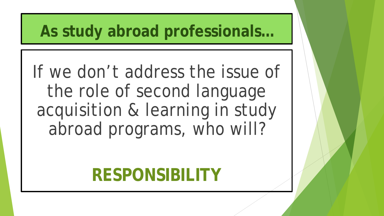## **As study abroad professionals…**

If we don't address the issue of the role of second language acquisition & learning in study abroad programs, who will?

## **RESPONSIBILITY**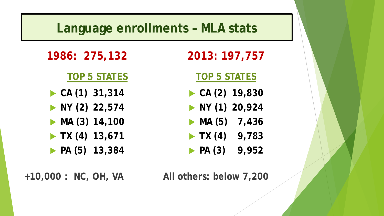#### **Language enrollments – MLA stats**

**1986: 275,132**

#### **TOP 5 STATES**

- **CA (1) 31,314**
- **NY (2) 22,574**
- **MA (3) 14,100**
- **TX (4) 13,671**
- **PA (5) 13,384**

#### **2013: 197,757**

#### **TOP 5 STATES**

- **CA (2) 19,830**
- **NY (1) 20,924**
- **MA (5) 7,436**
- **TX (4) 9,783**
- **PA (3) 9,952**

**+10,000 : NC, OH, VA All others: below 7,200**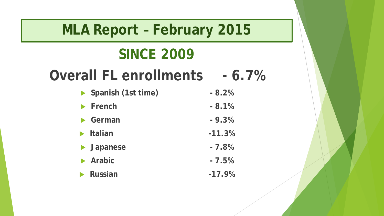#### **MLA Report – February 2015**

## **SINCE 2009**

## **Overall FL enrollments - 6.7%**

| Spanish (1st time)             | $-8.2%$  |
|--------------------------------|----------|
| $\blacktriangleright$ French   | $-8.1%$  |
| $\blacktriangleright$ German   | $-9.3%$  |
| $\blacktriangleright$ Italian  | $-11.3%$ |
| $\blacktriangleright$ Japanese | $-7.8%$  |
| $\blacktriangleright$ Arabic   | $-7.5%$  |
| Russian                        | $-17.9%$ |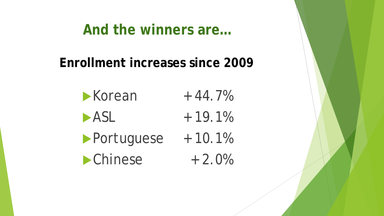#### **And the winners are…**

**Enrollment increases since 2009**

 $\blacktriangleright$  Korean + 44.7%  $-$  ASL  $+$  19.1% Portuguese + 10.1%  $\blacktriangleright$  Chinese  $+2.0\%$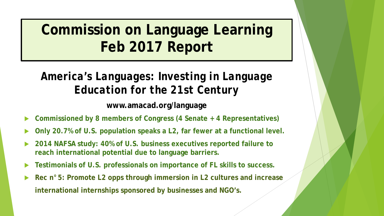## **Commission on Language Learning Feb 2017 Report**

#### *America's Languages: Investing in Language Education for the 21st Century*

**www.amacad.org/language**

- **Commissioned by 8 members of Congress (4 Senate + 4 Representatives)**
- **Only 20.7% of U.S. population speaks a L2, far fewer at a functional level.**
- **2014 NAFSA study: 40% of U.S. business executives reported failure to reach international potential due to language barriers.**
- **Testimonials of U.S. professionals on importance of FL skills to success.**
- **Rec n°5: Promote L2 opps through immersion in L2 cultures and increase international internships sponsored by businesses and NGO's.**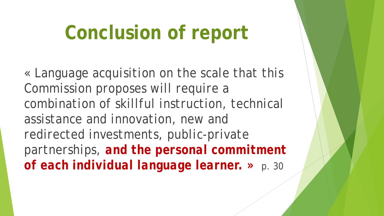# **Conclusion of report**

*« Language acquisition on the scale that this Commission proposes will require a combination of skillful instruction, technical assistance and innovation, new and redirected investments, public-private partnerships, and the personal commitment of each individual language learner. »* p. 30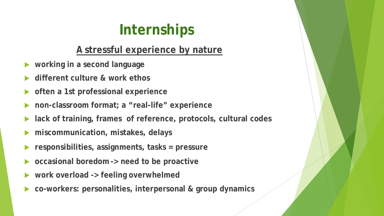## **Internships**

#### **A stressful experience by nature**

- **working in a second language**
- **different culture & work ethos**
- **often a 1st professional experience**
- **non-classroom format; a "real-life" experience**
- **lack of training, frames of reference, protocols, cultural codes**
- **miscommunication, mistakes, delays**
- **responsibilities, assignments, tasks = pressure**
- **occasional boredom -> need to be proactive**
- **work overload -> feeling overwhelmed**
- **co-workers: personalities, interpersonal & group dynamics**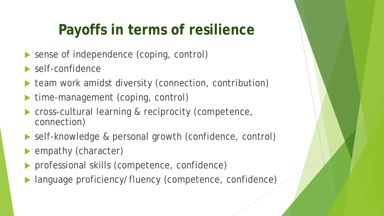## **Payoffs in terms of resilience**

- sense of independence (coping, control)
- self-confidence
- team work amidst diversity (connection, contribution)
- time-management (coping, control)
- cross-cultural learning & reciprocity (competence, connection)
- self-knowledge & personal growth (confidence, control)
- empathy (character)
- professional skills (competence, confidence)
- language proficiency/fluency (competence, confidence)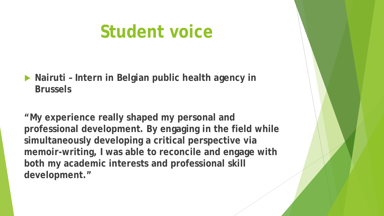## **Student voice**

 **Nairuti – Intern in Belgian public health agency in Brussels**

**"My experience really shaped my personal and professional development. By engaging in the field while simultaneously developing a critical perspective via memoir-writing, I was able to reconcile and engage with both my academic interests and professional skill development."**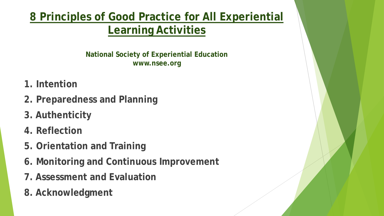#### **8 Principles of Good Practice for All Experiential Learning Activities**

**National Society of Experiential Education www.nsee.org**

- **1. Intention**
- **2. Preparedness and Planning**
- **3. Authenticity**
- **4. Reflection**
- **5. Orientation and Training**
- **6. Monitoring and Continuous Improvement**
- **7. Assessment and Evaluation**
- **8. Acknowledgment**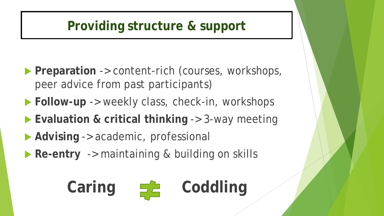#### **Providing structure & support**

- **Preparation** -> content-rich (courses, workshops, peer advice from past participants)
- **Follow-up** -> weekly class, check-in, workshops
- ▶ Evaluation & critical thinking -> 3-way meeting
- **Advising** -> academic, professional
- **Re-entry** -> maintaining & building on skills

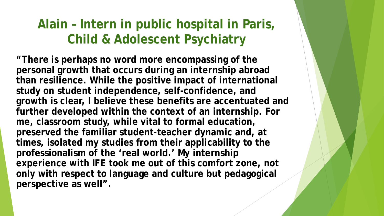#### **Alain – Intern in public hospital in Paris, Child & Adolescent Psychiatry**

**"There is perhaps no word more encompassing of the personal growth that occurs during an internship abroad than resilience. While the positive impact of international study on student independence, self-confidence, and growth is clear, I believe these benefits are accentuated and further developed within the context of an internship. For me, classroom study, while vital to formal education, preserved the familiar student-teacher dynamic and, at times, isolated my studies from their applicability to the professionalism of the 'real world.' My internship experience with IFE took me out of this comfort zone, not only with respect to language and culture but pedagogical perspective as well".**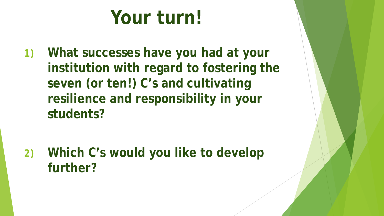# **Your turn!**

**1) What successes have you had at your institution with regard to fostering the seven (or ten!) C's and cultivating resilience and responsibility in your students?**

**2) Which C's would you like to develop further?**